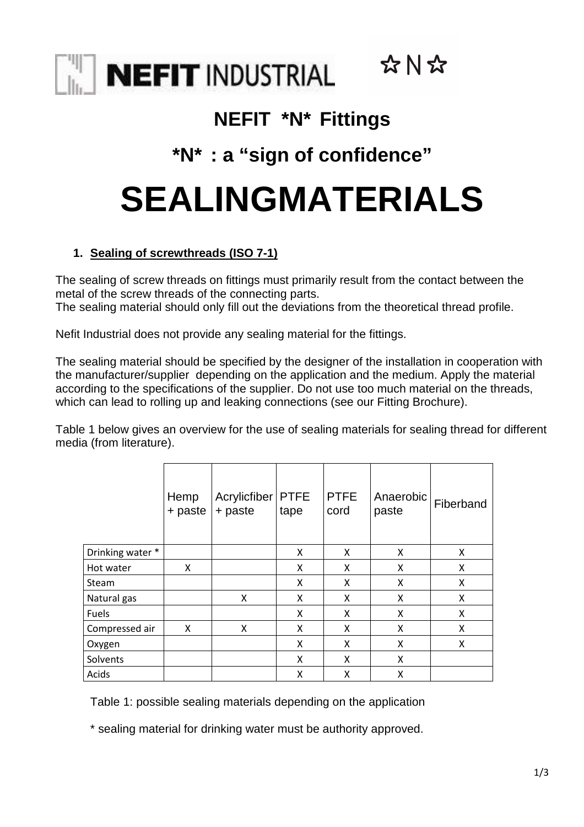

## **NEFIT \*N\* Fittings**

☆N☆

# **\*N\* : a "sign of confidence"**

# **SEALINGMATERIALS**

## **1. Sealing of screwthreads (ISO 7-1)**

The sealing of screw threads on fittings must primarily result from the contact between the metal of the screw threads of the connecting parts.

The sealing material should only fill out the deviations from the theoretical thread profile.

Nefit Industrial does not provide any sealing material for the fittings.

The sealing material should be specified by the designer of the installation in cooperation with the manufacturer/supplier depending on the application and the medium. Apply the material according to the specifications of the supplier. Do not use too much material on the threads, which can lead to rolling up and leaking connections (see our Fitting Brochure).

Table 1 below gives an overview for the use of sealing materials for sealing thread for different media (from literature).

|                  | Hemp<br>+ paste | Acrylicfiber<br>+ paste | <b>PTFE</b><br>tape | <b>PTFE</b><br>cord | Anaerobic<br>paste | Fiberband |
|------------------|-----------------|-------------------------|---------------------|---------------------|--------------------|-----------|
| Drinking water * |                 |                         | X                   | X                   | X                  | X         |
| Hot water        | X               |                         | X                   | X                   | X                  | X         |
| Steam            |                 |                         | X                   | X                   | X                  | X         |
| Natural gas      |                 | X                       | X                   | X                   | X                  | X         |
| Fuels            |                 |                         | X                   | X                   | X                  | x         |
| Compressed air   | X               | X                       | X                   | X                   | X                  | X         |
| Oxygen           |                 |                         | X                   | X                   | Χ                  | X         |
| Solvents         |                 |                         | X                   | X                   | X                  |           |
| Acids            |                 |                         | x                   | X                   | X                  |           |

Table 1: possible sealing materials depending on the application

\* sealing material for drinking water must be authority approved.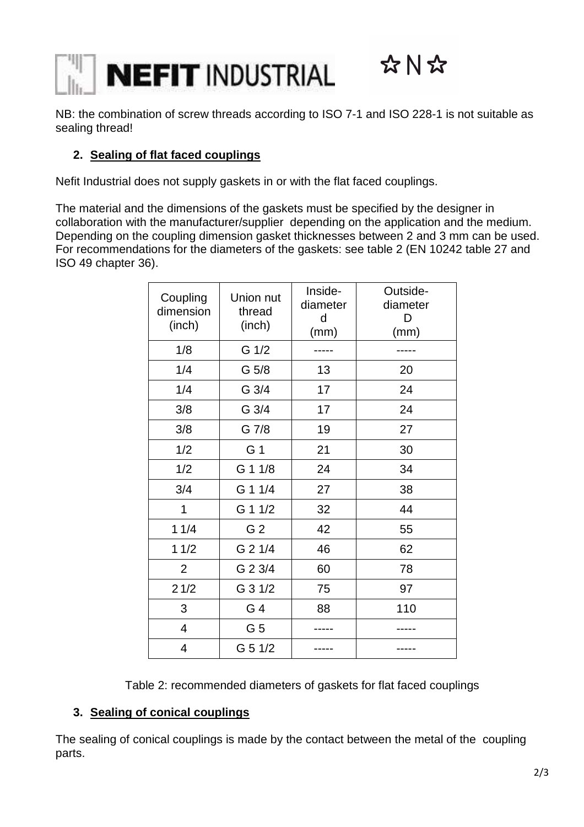

NB: the combination of screw threads according to ISO 7-1 and ISO 228-1 is not suitable as sealing thread!

### **2. Sealing of flat faced couplings**

Nefit Industrial does not supply gaskets in or with the flat faced couplings.

The material and the dimensions of the gaskets must be specified by the designer in collaboration with the manufacturer/supplier depending on the application and the medium. Depending on the coupling dimension gasket thicknesses between 2 and 3 mm can be used. For recommendations for the diameters of the gaskets: see table 2 (EN 10242 table 27 and ISO 49 chapter 36).

| Coupling<br>dimension<br>(inch) | Union nut<br>thread<br>(inch) | Inside-<br>diameter<br>d<br>(mm) | Outside-<br>diameter<br>D<br>(mm) |
|---------------------------------|-------------------------------|----------------------------------|-----------------------------------|
| 1/8                             | G 1/2                         |                                  |                                   |
| 1/4                             | G 5/8                         | 13                               | 20                                |
| 1/4                             | G 3/4                         | 17                               | 24                                |
| 3/8                             | G 3/4                         | 17                               | 24                                |
| 3/8                             | G 7/8                         | 19                               | 27                                |
| 1/2                             | G 1                           | 21                               | 30                                |
| 1/2                             | G 1 1/8                       | 24                               | 34                                |
| 3/4                             | G 1 1/4                       | 27                               | 38                                |
| 1                               | G 1 1/2                       | 32                               | 44                                |
| 11/4                            | G <sub>2</sub>                | 42                               | 55                                |
| 11/2                            | G 2 1/4                       | 46                               | 62                                |
| $\overline{2}$                  | G 2 3/4                       | 60                               | 78                                |
| 21/2                            | G 3 1/2                       | 75                               | 97                                |
| 3                               | G 4                           | 88                               | 110                               |
| 4                               | G 5                           |                                  |                                   |
| 4                               | G 5 1/2                       |                                  |                                   |

Table 2: recommended diameters of gaskets for flat faced couplings

#### **3. Sealing of conical couplings**

The sealing of conical couplings is made by the contact between the metal of the coupling parts.